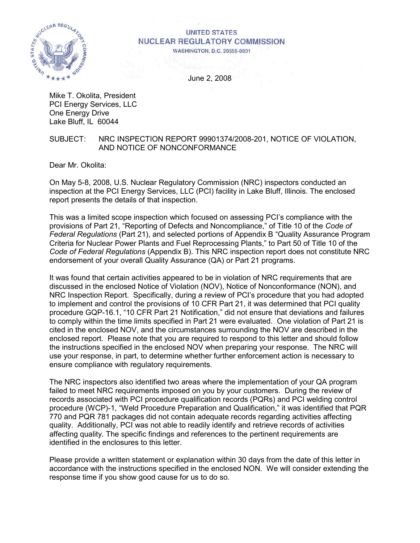

# **UNITED STATES NUCLEAR REGULATORY COMMISSION**

**WASHINGTON, D.C. 20555-0001** 

June 2, 2008

Mike T. Okolita, President PCI Energy Services, LLC One Energy Drive Lake Bluff, IL 60044

#### SUBJECT: NRC INSPECTION REPORT 99901374/2008-201, NOTICE OF VIOLATION, AND NOTICE OF NONCONFORMANCE

Dear Mr. Okolita:

On May 5-8, 2008, U.S. Nuclear Regulatory Commission (NRC) inspectors conducted an inspection at the PCI Energy Services, LLC (PCI) facility in Lake Bluff, Illinois. The enclosed report presents the details of that inspection.

This was a limited scope inspection which focused on assessing PCI's compliance with the provisions of Part 21, "Reporting of Defects and Noncompliance," of Title 10 of the *Code of Federal Regulations* (Part 21), and selected portions of Appendix B "Quality Assurance Program Criteria for Nuclear Power Plants and Fuel Reprocessing Plants," to Part 50 of Title 10 of the *Code of Federal Regulations* (Appendix B). This NRC inspection report does not constitute NRC endorsement of your overall Quality Assurance (QA) or Part 21 programs.

It was found that certain activities appeared to be in violation of NRC requirements that are discussed in the enclosed Notice of Violation (NOV), Notice of Nonconformance (NON), and NRC Inspection Report. Specifically, during a review of PCI's procedure that you had adopted to implement and control the provisions of 10 CFR Part 21, it was determined that PCI quality procedure GQP-16.1, "10 CFR Part 21 Notification," did not ensure that deviations and failures to comply within the time limits specified in Part 21 were evaluated. One violation of Part 21 is cited in the enclosed NOV, and the circumstances surrounding the NOV are described in the enclosed report. Please note that you are required to respond to this letter and should follow the instructions specified in the enclosed NOV when preparing your response. The NRC will use your response, in part, to determine whether further enforcement action is necessary to ensure compliance with regulatory requirements.

The NRC inspectors also identified two areas where the implementation of your QA program failed to meet NRC requirements imposed on you by your customers. During the review of records associated with PCI procedure qualification records (PQRs) and PCI welding control procedure (WCP)-1, "Weld Procedure Preparation and Qualification," it was identified that PQR 770 and PQR 781 packages did not contain adequate records regarding activities affecting quality. Additionally, PCI was not able to readily identify and retrieve records of activities affecting quality. The specific findings and references to the pertinent requirements are identified in the enclosures to this letter.

Please provide a written statement or explanation within 30 days from the date of this letter in accordance with the instructions specified in the enclosed NON. We will consider extending the response time if you show good cause for us to do so.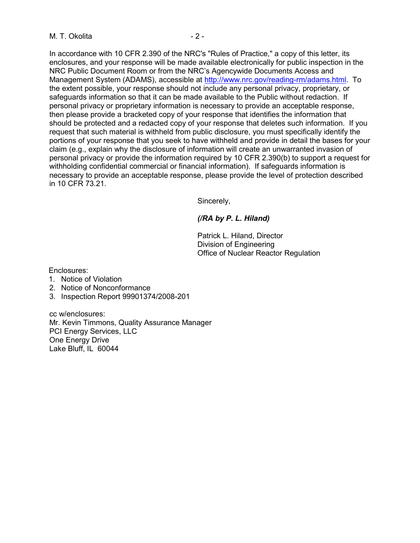In accordance with 10 CFR 2.390 of the NRC's "Rules of Practice," a copy of this letter, its enclosures, and your response will be made available electronically for public inspection in the NRC Public Document Room or from the NRC's Agencywide Documents Access and Management System (ADAMS), accessible at http://www.nrc.gov/reading-rm/adams.html. To the extent possible, your response should not include any personal privacy, proprietary, or safeguards information so that it can be made available to the Public without redaction. If personal privacy or proprietary information is necessary to provide an acceptable response, then please provide a bracketed copy of your response that identifies the information that should be protected and a redacted copy of your response that deletes such information. If you request that such material is withheld from public disclosure, you must specifically identify the portions of your response that you seek to have withheld and provide in detail the bases for your claim (e.g., explain why the disclosure of information will create an unwarranted invasion of personal privacy or provide the information required by 10 CFR 2.390(b) to support a request for withholding confidential commercial or financial information). If safeguards information is necessary to provide an acceptable response, please provide the level of protection described in 10 CFR 73.21.

Sincerely,

# *(/RA by P. L. Hiland)*

Patrick L. Hiland, Director Division of Engineering Office of Nuclear Reactor Regulation

Enclosures:

- 1. Notice of Violation
- 2. Notice of Nonconformance
- 3. Inspection Report 99901374/2008-201

cc w/enclosures: Mr. Kevin Timmons, Quality Assurance Manager PCI Energy Services, LLC One Energy Drive Lake Bluff, IL 60044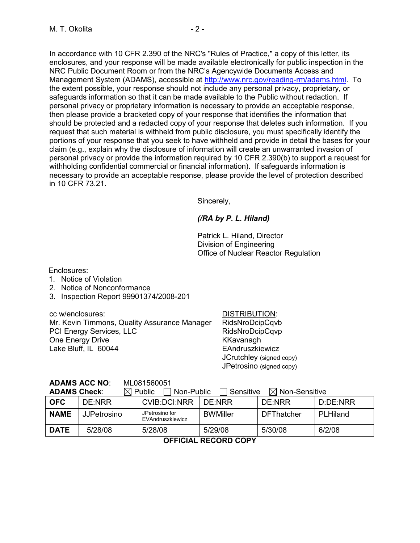In accordance with 10 CFR 2.390 of the NRC's "Rules of Practice," a copy of this letter, its enclosures, and your response will be made available electronically for public inspection in the NRC Public Document Room or from the NRC's Agencywide Documents Access and Management System (ADAMS), accessible at http://www.nrc.gov/reading-rm/adams.html. To the extent possible, your response should not include any personal privacy, proprietary, or safeguards information so that it can be made available to the Public without redaction. If personal privacy or proprietary information is necessary to provide an acceptable response, then please provide a bracketed copy of your response that identifies the information that should be protected and a redacted copy of your response that deletes such information. If you request that such material is withheld from public disclosure, you must specifically identify the portions of your response that you seek to have withheld and provide in detail the bases for your claim (e.g., explain why the disclosure of information will create an unwarranted invasion of personal privacy or provide the information required by 10 CFR 2.390(b) to support a request for withholding confidential commercial or financial information). If safeguards information is necessary to provide an acceptable response, please provide the level of protection described in 10 CFR 73.21.

Sincerely,

# *(/RA by P. L. Hiland)*

Patrick L. Hiland, Director Division of Engineering Office of Nuclear Reactor Regulation

Enclosures:

- 1. Notice of Violation
- 2. Notice of Nonconformance
- 3. Inspection Report 99901374/2008-201

cc w/enclosures: DISTRIBUTION:

Mr. Kevin Timmons, Quality Assurance Manager RidsNroDcipCqvb PCI Energy Services, LLC RidsNroDcipCqvp One Energy Drive **KKavanagh** Lake Bluff, IL 60044 EAndruszkiewicz

 JCrutchley (signed copy) JPetrosino (signed copy)

**ADAMS ACC NO**: ML081560051

**ADAMS Check:**  $\boxtimes$  Public  $\Box$  Non-Public  $\Box$  Sensitive  $\boxtimes$  Non-Sensitive

| -<br><b>00000000</b><br>, , , , , , , , , , , , , , , , , |                    |                                    |                 |                   |          |  |  |
|-----------------------------------------------------------|--------------------|------------------------------------|-----------------|-------------------|----------|--|--|
| <b>OFC</b>                                                | DE:NRR             | CVIB:DCI:NRR                       | DE NRR          | DF/NRR            | D:DE:NRR |  |  |
| <b>NAME</b>                                               | <b>JJPetrosino</b> | JPetrosino for<br>EVAndruszkiewicz | <b>BWMiller</b> | <b>DFThatcher</b> | PLHiland |  |  |
| <b>DATE</b>                                               | 5/28/08            | 5/28/08                            | 5/29/08         | 5/30/08           | 6/2/08   |  |  |
| AFFIAIAL BEAARD AABV                                      |                    |                                    |                 |                   |          |  |  |

**OFFICIAL RECORD COPY**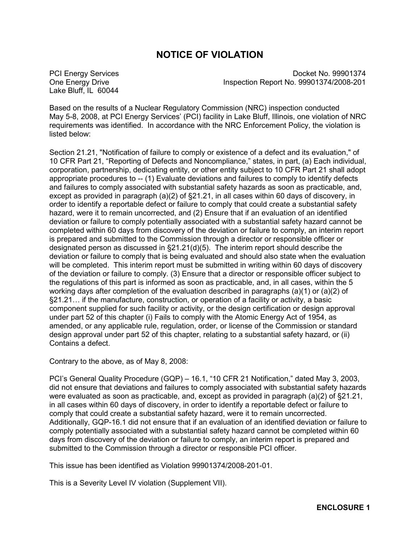# **NOTICE OF VIOLATION**

Lake Bluff, IL 60044

PCI Energy Services Docket No. 99901374 One Energy Drive Inspection Report No. 99901374/2008-201

Based on the results of a Nuclear Regulatory Commission (NRC) inspection conducted May 5-8, 2008, at PCI Energy Services' (PCI) facility in Lake Bluff, Illinois, one violation of NRC requirements was identified. In accordance with the NRC Enforcement Policy, the violation is listed below:

Section 21.21, "Notification of failure to comply or existence of a defect and its evaluation," of 10 CFR Part 21, "Reporting of Defects and Noncompliance," states, in part, (a) Each individual, corporation, partnership, dedicating entity, or other entity subject to 10 CFR Part 21 shall adopt appropriate procedures to -- (1) Evaluate deviations and failures to comply to identify defects and failures to comply associated with substantial safety hazards as soon as practicable, and, except as provided in paragraph (a)(2) of §21.21, in all cases within 60 days of discovery, in order to identify a reportable defect or failure to comply that could create a substantial safety hazard, were it to remain uncorrected, and (2) Ensure that if an evaluation of an identified deviation or failure to comply potentially associated with a substantial safety hazard cannot be completed within 60 days from discovery of the deviation or failure to comply, an interim report is prepared and submitted to the Commission through a director or responsible officer or designated person as discussed in §21.21(d)(5). The interim report should describe the deviation or failure to comply that is being evaluated and should also state when the evaluation will be completed. This interim report must be submitted in writing within 60 days of discovery of the deviation or failure to comply. (3) Ensure that a director or responsible officer subject to the regulations of this part is informed as soon as practicable, and, in all cases, within the 5 working days after completion of the evaluation described in paragraphs  $(a)(1)$  or  $(a)(2)$  of §21.21… if the manufacture, construction, or operation of a facility or activity, a basic component supplied for such facility or activity, or the design certification or design approval under part 52 of this chapter (i) Fails to comply with the Atomic Energy Act of 1954, as amended, or any applicable rule, regulation, order, or license of the Commission or standard design approval under part 52 of this chapter, relating to a substantial safety hazard, or (ii) Contains a defect.

Contrary to the above, as of May 8, 2008:

PCI's General Quality Procedure (GQP) – 16.1, "10 CFR 21 Notification," dated May 3, 2003, did not ensure that deviations and failures to comply associated with substantial safety hazards were evaluated as soon as practicable, and, except as provided in paragraph (a)(2) of §21.21, in all cases within 60 days of discovery, in order to identify a reportable defect or failure to comply that could create a substantial safety hazard, were it to remain uncorrected. Additionally, GQP-16.1 did not ensure that if an evaluation of an identified deviation or failure to comply potentially associated with a substantial safety hazard cannot be completed within 60 days from discovery of the deviation or failure to comply, an interim report is prepared and submitted to the Commission through a director or responsible PCI officer.

This issue has been identified as Violation 99901374/2008-201-01.

This is a Severity Level IV violation (Supplement VII).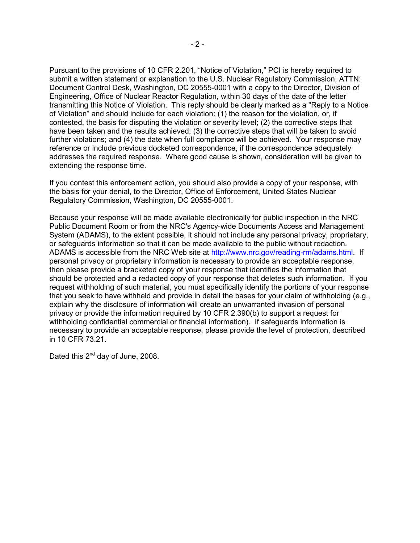Pursuant to the provisions of 10 CFR 2.201, "Notice of Violation," PCI is hereby required to submit a written statement or explanation to the U.S. Nuclear Regulatory Commission, ATTN: Document Control Desk, Washington, DC 20555-0001 with a copy to the Director, Division of Engineering, Office of Nuclear Reactor Regulation, within 30 days of the date of the letter transmitting this Notice of Violation. This reply should be clearly marked as a "Reply to a Notice of Violation" and should include for each violation: (1) the reason for the violation, or, if contested, the basis for disputing the violation or severity level; (2) the corrective steps that have been taken and the results achieved; (3) the corrective steps that will be taken to avoid further violations; and (4) the date when full compliance will be achieved. Your response may reference or include previous docketed correspondence, if the correspondence adequately addresses the required response. Where good cause is shown, consideration will be given to extending the response time.

If you contest this enforcement action, you should also provide a copy of your response, with the basis for your denial, to the Director, Office of Enforcement, United States Nuclear Regulatory Commission, Washington, DC 20555-0001.

Because your response will be made available electronically for public inspection in the NRC Public Document Room or from the NRC's Agency-wide Documents Access and Management System (ADAMS), to the extent possible, it should not include any personal privacy, proprietary, or safeguards information so that it can be made available to the public without redaction. ADAMS is accessible from the NRC Web site at http://www.nrc.gov/reading-rm/adams.html. If personal privacy or proprietary information is necessary to provide an acceptable response, then please provide a bracketed copy of your response that identifies the information that should be protected and a redacted copy of your response that deletes such information. If you request withholding of such material, you must specifically identify the portions of your response that you seek to have withheld and provide in detail the bases for your claim of withholding (e.g., explain why the disclosure of information will create an unwarranted invasion of personal privacy or provide the information required by 10 CFR 2.390(b) to support a request for withholding confidential commercial or financial information). If safeguards information is necessary to provide an acceptable response, please provide the level of protection, described in 10 CFR 73.21.

Dated this 2<sup>nd</sup> day of June, 2008.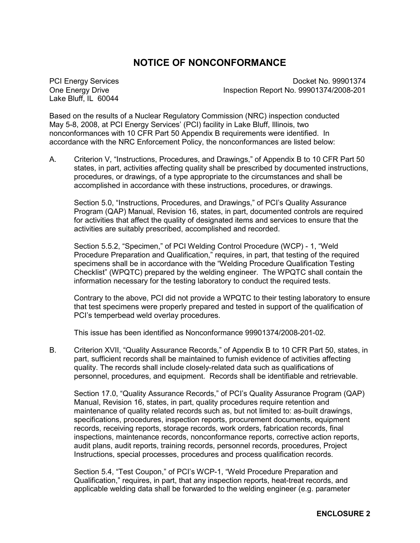# **NOTICE OF NONCONFORMANCE**

Lake Bluff, IL 60044

PCI Energy Services Docket No. 99901374 One Energy Drive Inspection Report No. 99901374/2008-201

Based on the results of a Nuclear Regulatory Commission (NRC) inspection conducted May 5-8, 2008, at PCI Energy Services' (PCI) facility in Lake Bluff, Illinois, two nonconformances with 10 CFR Part 50 Appendix B requirements were identified. In accordance with the NRC Enforcement Policy, the nonconformances are listed below:

A. Criterion V, "Instructions, Procedures, and Drawings," of Appendix B to 10 CFR Part 50 states, in part, activities affecting quality shall be prescribed by documented instructions, procedures, or drawings, of a type appropriate to the circumstances and shall be accomplished in accordance with these instructions, procedures, or drawings.

Section 5.0, "Instructions, Procedures, and Drawings," of PCI's Quality Assurance Program (QAP) Manual, Revision 16, states, in part, documented controls are required for activities that affect the quality of designated items and services to ensure that the activities are suitably prescribed, accomplished and recorded.

Section 5.5.2, "Specimen," of PCI Welding Control Procedure (WCP) - 1, "Weld Procedure Preparation and Qualification," requires, in part, that testing of the required specimens shall be in accordance with the "Welding Procedure Qualification Testing Checklist" (WPQTC) prepared by the welding engineer. The WPQTC shall contain the information necessary for the testing laboratory to conduct the required tests.

Contrary to the above, PCI did not provide a WPQTC to their testing laboratory to ensure that test specimens were properly prepared and tested in support of the qualification of PCI's temperbead weld overlay procedures.

This issue has been identified as Nonconformance 99901374/2008-201-02.

B. Criterion XVII, "Quality Assurance Records," of Appendix B to 10 CFR Part 50, states, in part, sufficient records shall be maintained to furnish evidence of activities affecting quality. The records shall include closely-related data such as qualifications of personnel, procedures, and equipment. Records shall be identifiable and retrievable.

Section 17.0, "Quality Assurance Records," of PCI's Quality Assurance Program (QAP) Manual, Revision 16, states, in part, quality procedures require retention and maintenance of quality related records such as, but not limited to: as-built drawings, specifications, procedures, inspection reports, procurement documents, equipment records, receiving reports, storage records, work orders, fabrication records, final inspections, maintenance records, nonconformance reports, corrective action reports, audit plans, audit reports, training records, personnel records, procedures, Project Instructions, special processes, procedures and process qualification records.

Section 5.4, "Test Coupon," of PCI's WCP-1, "Weld Procedure Preparation and Qualification," requires, in part, that any inspection reports, heat-treat records, and applicable welding data shall be forwarded to the welding engineer (e.g. parameter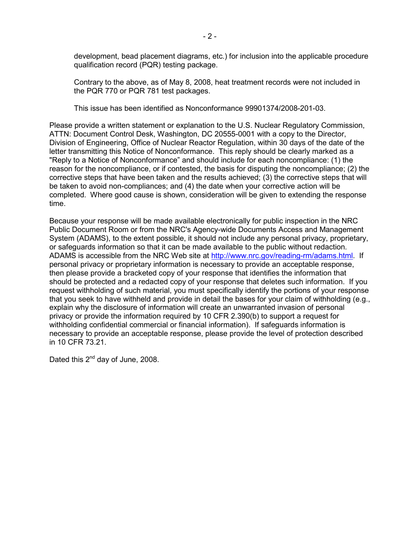development, bead placement diagrams, etc.) for inclusion into the applicable procedure qualification record (PQR) testing package.

Contrary to the above, as of May 8, 2008, heat treatment records were not included in the PQR 770 or PQR 781 test packages.

This issue has been identified as Nonconformance 99901374/2008-201-03.

Please provide a written statement or explanation to the U.S. Nuclear Regulatory Commission, ATTN: Document Control Desk, Washington, DC 20555-0001 with a copy to the Director, Division of Engineering, Office of Nuclear Reactor Regulation, within 30 days of the date of the letter transmitting this Notice of Nonconformance. This reply should be clearly marked as a "Reply to a Notice of Nonconformance" and should include for each noncompliance: (1) the reason for the noncompliance, or if contested, the basis for disputing the noncompliance; (2) the corrective steps that have been taken and the results achieved; (3) the corrective steps that will be taken to avoid non-compliances; and (4) the date when your corrective action will be completed. Where good cause is shown, consideration will be given to extending the response time.

Because your response will be made available electronically for public inspection in the NRC Public Document Room or from the NRC's Agency-wide Documents Access and Management System (ADAMS), to the extent possible, it should not include any personal privacy, proprietary, or safeguards information so that it can be made available to the public without redaction. ADAMS is accessible from the NRC Web site at http://www.nrc.gov/reading-rm/adams.html. If personal privacy or proprietary information is necessary to provide an acceptable response, then please provide a bracketed copy of your response that identifies the information that should be protected and a redacted copy of your response that deletes such information. If you request withholding of such material, you must specifically identify the portions of your response that you seek to have withheld and provide in detail the bases for your claim of withholding (e.g., explain why the disclosure of information will create an unwarranted invasion of personal privacy or provide the information required by 10 CFR 2.390(b) to support a request for withholding confidential commercial or financial information). If safeguards information is necessary to provide an acceptable response, please provide the level of protection described in 10 CFR 73.21.

Dated this 2<sup>nd</sup> day of June, 2008.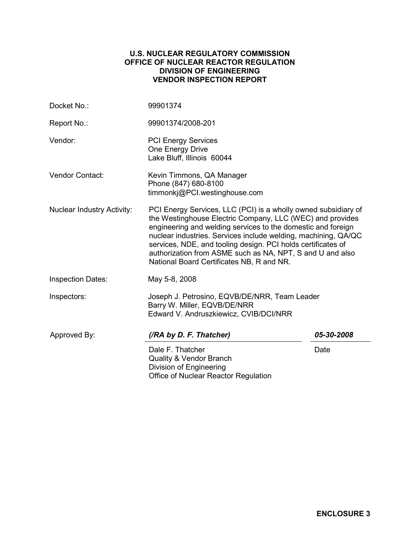### **U.S. NUCLEAR REGULATORY COMMISSION OFFICE OF NUCLEAR REACTOR REGULATION DIVISION OF ENGINEERING VENDOR INSPECTION REPORT**

| Docket No.:                       | 99901374                                                                                                                                                                                                                                                                                                                                                                                                                                |            |  |  |
|-----------------------------------|-----------------------------------------------------------------------------------------------------------------------------------------------------------------------------------------------------------------------------------------------------------------------------------------------------------------------------------------------------------------------------------------------------------------------------------------|------------|--|--|
| Report No.:                       | 99901374/2008-201                                                                                                                                                                                                                                                                                                                                                                                                                       |            |  |  |
| Vendor:                           | <b>PCI Energy Services</b><br>One Energy Drive<br>Lake Bluff, Illinois 60044                                                                                                                                                                                                                                                                                                                                                            |            |  |  |
| Vendor Contact:                   | Kevin Timmons, QA Manager<br>Phone (847) 680-8100<br>timmonkj@PCI.westinghouse.com                                                                                                                                                                                                                                                                                                                                                      |            |  |  |
| <b>Nuclear Industry Activity:</b> | PCI Energy Services, LLC (PCI) is a wholly owned subsidiary of<br>the Westinghouse Electric Company, LLC (WEC) and provides<br>engineering and welding services to the domestic and foreign<br>nuclear industries. Services include welding, machining, QA/QC<br>services, NDE, and tooling design. PCI holds certificates of<br>authorization from ASME such as NA, NPT, S and U and also<br>National Board Certificates NB, R and NR. |            |  |  |
| <b>Inspection Dates:</b>          | May 5-8, 2008                                                                                                                                                                                                                                                                                                                                                                                                                           |            |  |  |
| Inspectors:                       | Joseph J. Petrosino, EQVB/DE/NRR, Team Leader<br>Barry W. Miller, EQVB/DE/NRR<br>Edward V. Andruszkiewicz, CVIB/DCI/NRR                                                                                                                                                                                                                                                                                                                 |            |  |  |
| Approved By:                      | (/RA by D. F. Thatcher)                                                                                                                                                                                                                                                                                                                                                                                                                 | 05-30-2008 |  |  |
|                                   | Dale F. Thatcher<br><b>Quality &amp; Vendor Branch</b><br>Division of Engineering<br>Office of Nuclear Reactor Regulation                                                                                                                                                                                                                                                                                                               | Date       |  |  |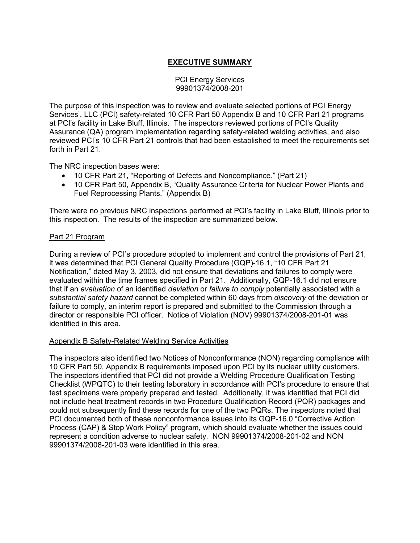# **EXECUTIVE SUMMARY**

#### PCI Energy Services 99901374/2008-201

The purpose of this inspection was to review and evaluate selected portions of PCI Energy Services', LLC (PCI) safety-related 10 CFR Part 50 Appendix B and 10 CFR Part 21 programs at PCI's facility in Lake Bluff, Illinois. The inspectors reviewed portions of PCI's Quality Assurance (QA) program implementation regarding safety-related welding activities, and also reviewed PCI's 10 CFR Part 21 controls that had been established to meet the requirements set forth in Part 21.

The NRC inspection bases were:

- 10 CFR Part 21, "Reporting of Defects and Noncompliance." (Part 21)
- 10 CFR Part 50, Appendix B, "Quality Assurance Criteria for Nuclear Power Plants and Fuel Reprocessing Plants." (Appendix B)

There were no previous NRC inspections performed at PCI's facility in Lake Bluff, Illinois prior to this inspection. The results of the inspection are summarized below.

## Part 21 Program

During a review of PCI's procedure adopted to implement and control the provisions of Part 21, it was determined that PCI General Quality Procedure (GQP)-16.1, "10 CFR Part 21 Notification," dated May 3, 2003, did not ensure that deviations and failures to comply were evaluated within the time frames specified in Part 21. Additionally, GQP-16.1 did not ensure that if an *evaluation* of an identified *deviation* or *failure to comply* potentially associated with a *substantial safety hazard* cannot be completed within 60 days from *discovery* of the deviation or failure to comply, an interim report is prepared and submitted to the Commission through a director or responsible PCI officer. Notice of Violation (NOV) 99901374/2008-201-01 was identified in this area.

## Appendix B Safety-Related Welding Service Activities

The inspectors also identified two Notices of Nonconformance (NON) regarding compliance with 10 CFR Part 50, Appendix B requirements imposed upon PCI by its nuclear utility customers. The inspectors identified that PCI did not provide a Welding Procedure Qualification Testing Checklist (WPQTC) to their testing laboratory in accordance with PCI's procedure to ensure that test specimens were properly prepared and tested. Additionally, it was identified that PCI did not include heat treatment records in two Procedure Qualification Record (PQR) packages and could not subsequently find these records for one of the two PQRs. The inspectors noted that PCI documented both of these nonconformance issues into its GQP-16.0 "Corrective Action Process (CAP) & Stop Work Policy" program, which should evaluate whether the issues could represent a condition adverse to nuclear safety. NON 99901374/2008-201-02 and NON 99901374/2008-201-03 were identified in this area.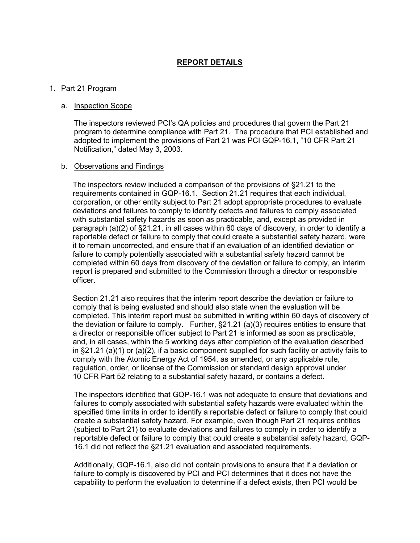# **REPORT DETAILS**

#### 1. Part 21 Program

#### a. Inspection Scope

The inspectors reviewed PCI's QA policies and procedures that govern the Part 21 program to determine compliance with Part 21. The procedure that PCI established and adopted to implement the provisions of Part 21 was PCI GQP-16.1, "10 CFR Part 21 Notification," dated May 3, 2003.

#### b. Observations and Findings

The inspectors review included a comparison of the provisions of §21.21 to the requirements contained in GQP-16.1. Section 21.21 requires that each individual, corporation, or other entity subject to Part 21 adopt appropriate procedures to evaluate deviations and failures to comply to identify defects and failures to comply associated with substantial safety hazards as soon as practicable, and, except as provided in paragraph (a)(2) of §21.21, in all cases within 60 days of discovery, in order to identify a reportable defect or failure to comply that could create a substantial safety hazard, were it to remain uncorrected, and ensure that if an evaluation of an identified deviation or failure to comply potentially associated with a substantial safety hazard cannot be completed within 60 days from discovery of the deviation or failure to comply, an interim report is prepared and submitted to the Commission through a director or responsible officer.

Section 21.21 also requires that the interim report describe the deviation or failure to comply that is being evaluated and should also state when the evaluation will be completed. This interim report must be submitted in writing within 60 days of discovery of the deviation or failure to comply. Further, §21.21 (a)(3) requires entities to ensure that a director or responsible officer subject to Part 21 is informed as soon as practicable, and, in all cases, within the 5 working days after completion of the evaluation described in §21.21 (a)(1) or (a)(2), if a basic component supplied for such facility or activity fails to comply with the Atomic Energy Act of 1954, as amended, or any applicable rule, regulation, order, or license of the Commission or standard design approval under 10 CFR Part 52 relating to a substantial safety hazard, or contains a defect.

The inspectors identified that GQP-16.1 was not adequate to ensure that deviations and failures to comply associated with substantial safety hazards were evaluated within the specified time limits in order to identify a reportable defect or failure to comply that could create a substantial safety hazard. For example, even though Part 21 requires entities (subject to Part 21) to evaluate deviations and failures to comply in order to identify a reportable defect or failure to comply that could create a substantial safety hazard, GQP-16.1 did not reflect the §21.21 evaluation and associated requirements.

Additionally, GQP-16.1, also did not contain provisions to ensure that if a deviation or failure to comply is discovered by PCI and PCI determines that it does not have the capability to perform the evaluation to determine if a defect exists, then PCI would be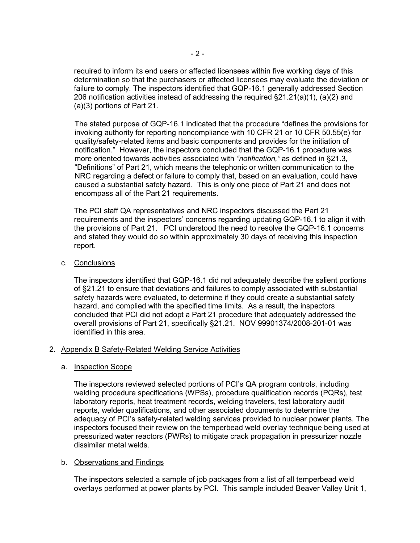required to inform its end users or affected licensees within five working days of this determination so that the purchasers or affected licensees may evaluate the deviation or failure to comply. The inspectors identified that GQP-16.1 generally addressed Section 206 notification activities instead of addressing the required  $\S21.21(a)(1)$ , (a)(2) and (a)(3) portions of Part 21.

The stated purpose of GQP-16.1 indicated that the procedure "defines the provisions for invoking authority for reporting noncompliance with 10 CFR 21 or 10 CFR 50.55(e) for quality/safety-related items and basic components and provides for the initiation of notification." However, the inspectors concluded that the GQP-16.1 procedure was more oriented towards activities associated with *"notification,"* as defined in §21.3, "Definitions" of Part 21, which means the telephonic or written communication to the NRC regarding a defect or failure to comply that, based on an evaluation, could have caused a substantial safety hazard. This is only one piece of Part 21 and does not encompass all of the Part 21 requirements.

The PCI staff QA representatives and NRC inspectors discussed the Part 21 requirements and the inspectors' concerns regarding updating GQP-16.1 to align it with the provisions of Part 21. PCI understood the need to resolve the GQP-16.1 concerns and stated they would do so within approximately 30 days of receiving this inspection report.

c. Conclusions

The inspectors identified that GQP-16.1 did not adequately describe the salient portions of §21.21 to ensure that deviations and failures to comply associated with substantial safety hazards were evaluated, to determine if they could create a substantial safety hazard, and complied with the specified time limits. As a result, the inspectors concluded that PCI did not adopt a Part 21 procedure that adequately addressed the overall provisions of Part 21, specifically §21.21. NOV 99901374/2008-201-01 was identified in this area.

#### 2. Appendix B Safety-Related Welding Service Activities

#### a. Inspection Scope

The inspectors reviewed selected portions of PCI's QA program controls, including welding procedure specifications (WPSs), procedure qualification records (PQRs), test laboratory reports, heat treatment records, welding travelers, test laboratory audit reports, welder qualifications, and other associated documents to determine the adequacy of PCI's safety-related welding services provided to nuclear power plants. The inspectors focused their review on the temperbead weld overlay technique being used at pressurized water reactors (PWRs) to mitigate crack propagation in pressurizer nozzle dissimilar metal welds.

#### b. Observations and Findings

The inspectors selected a sample of job packages from a list of all temperbead weld overlays performed at power plants by PCI. This sample included Beaver Valley Unit 1,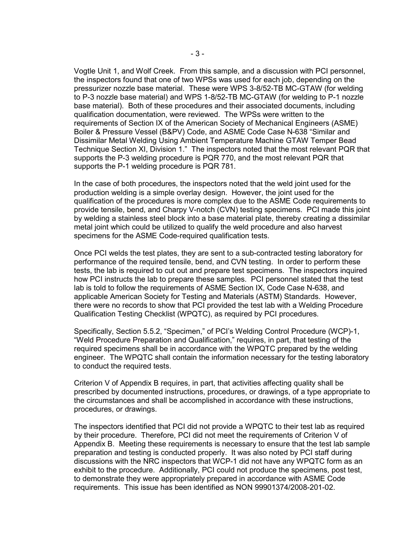Vogtle Unit 1, and Wolf Creek. From this sample, and a discussion with PCI personnel, the inspectors found that one of two WPSs was used for each job, depending on the pressurizer nozzle base material. These were WPS 3-8/52-TB MC-GTAW (for welding to P-3 nozzle base material) and WPS 1-8/52-TB MC-GTAW (for welding to P-1 nozzle base material). Both of these procedures and their associated documents, including qualification documentation, were reviewed. The WPSs were written to the requirements of Section IX of the American Society of Mechanical Engineers (ASME) Boiler & Pressure Vessel (B&PV) Code, and ASME Code Case N-638 "Similar and Dissimilar Metal Welding Using Ambient Temperature Machine GTAW Temper Bead Technique Section XI, Division 1." The inspectors noted that the most relevant PQR that supports the P-3 welding procedure is PQR 770, and the most relevant PQR that supports the P-1 welding procedure is PQR 781.

In the case of both procedures, the inspectors noted that the weld joint used for the production welding is a simple overlay design. However, the joint used for the qualification of the procedures is more complex due to the ASME Code requirements to provide tensile, bend, and Charpy V-notch (CVN) testing specimens. PCI made this joint by welding a stainless steel block into a base material plate, thereby creating a dissimilar metal joint which could be utilized to qualify the weld procedure and also harvest specimens for the ASME Code-required qualification tests.

Once PCI welds the test plates, they are sent to a sub-contracted testing laboratory for performance of the required tensile, bend, and CVN testing. In order to perform these tests, the lab is required to cut out and prepare test specimens. The inspectors inquired how PCI instructs the lab to prepare these samples. PCI personnel stated that the test lab is told to follow the requirements of ASME Section IX, Code Case N-638, and applicable American Society for Testing and Materials (ASTM) Standards. However, there were no records to show that PCI provided the test lab with a Welding Procedure Qualification Testing Checklist (WPQTC), as required by PCI procedures.

Specifically, Section 5.5.2, "Specimen," of PCI's Welding Control Procedure (WCP)-1, "Weld Procedure Preparation and Qualification," requires, in part, that testing of the required specimens shall be in accordance with the WPQTC prepared by the welding engineer. The WPQTC shall contain the information necessary for the testing laboratory to conduct the required tests.

Criterion V of Appendix B requires, in part, that activities affecting quality shall be prescribed by documented instructions, procedures, or drawings, of a type appropriate to the circumstances and shall be accomplished in accordance with these instructions, procedures, or drawings.

The inspectors identified that PCI did not provide a WPQTC to their test lab as required by their procedure. Therefore, PCI did not meet the requirements of Criterion V of Appendix B. Meeting these requirements is necessary to ensure that the test lab sample preparation and testing is conducted properly. It was also noted by PCI staff during discussions with the NRC inspectors that WCP-1 did not have any WPQTC form as an exhibit to the procedure. Additionally, PCI could not produce the specimens, post test, to demonstrate they were appropriately prepared in accordance with ASME Code requirements. This issue has been identified as NON 99901374/2008-201-02.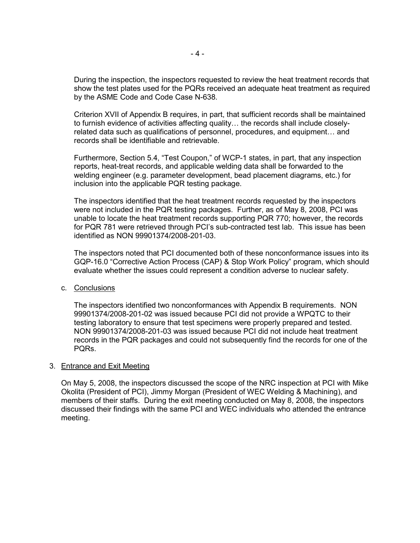During the inspection, the inspectors requested to review the heat treatment records that show the test plates used for the PQRs received an adequate heat treatment as required by the ASME Code and Code Case N-638.

Criterion XVII of Appendix B requires, in part, that sufficient records shall be maintained to furnish evidence of activities affecting quality… the records shall include closelyrelated data such as qualifications of personnel, procedures, and equipment… and records shall be identifiable and retrievable.

Furthermore, Section 5.4, "Test Coupon," of WCP-1 states, in part, that any inspection reports, heat-treat records, and applicable welding data shall be forwarded to the welding engineer (e.g. parameter development, bead placement diagrams, etc.) for inclusion into the applicable PQR testing package.

The inspectors identified that the heat treatment records requested by the inspectors were not included in the PQR testing packages. Further, as of May 8, 2008, PCI was unable to locate the heat treatment records supporting PQR 770; however, the records for PQR 781 were retrieved through PCI's sub-contracted test lab. This issue has been identified as NON 99901374/2008-201-03.

The inspectors noted that PCI documented both of these nonconformance issues into its GQP-16.0 "Corrective Action Process (CAP) & Stop Work Policy" program, which should evaluate whether the issues could represent a condition adverse to nuclear safety.

c. Conclusions

The inspectors identified two nonconformances with Appendix B requirements. NON 99901374/2008-201-02 was issued because PCI did not provide a WPQTC to their testing laboratory to ensure that test specimens were properly prepared and tested. NON 99901374/2008-201-03 was issued because PCI did not include heat treatment records in the PQR packages and could not subsequently find the records for one of the PQRs.

#### 3. Entrance and Exit Meeting

 On May 5, 2008, the inspectors discussed the scope of the NRC inspection at PCI with Mike Okolita (President of PCI), Jimmy Morgan (President of WEC Welding & Machining), and members of their staffs. During the exit meeting conducted on May 8, 2008, the inspectors discussed their findings with the same PCI and WEC individuals who attended the entrance meeting.